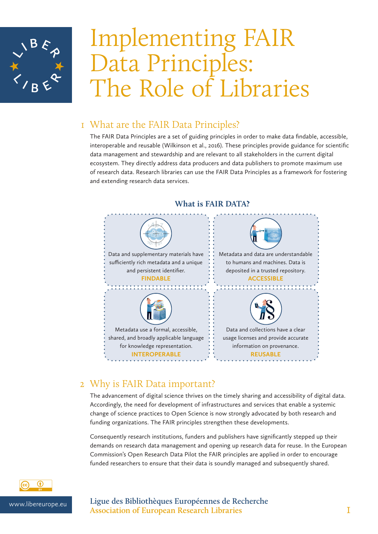

# Implementing FAIR Data Principles: The Role of Libraries

## 1 What are the FAIR Data Principles?

The FAIR Data Principles are a set of guiding principles in order to make data findable, accessible, interoperable and reusable (Wilkinson et al., 2016). These principles provide guidance for scientific data management and stewardship and are relevant to all stakeholders in the current digital ecosystem. They directly address data producers and data publishers to promote maximum use of research data. Research libraries can use the FAIR Data Principles as a framework for fostering and extending research data services.



## **What is FAIR DATA?**

## 2 Why is FAIR Data important?

The advancement of digital science thrives on the timely sharing and accessibility of digital data. Accordingly, the need for development of infrastructures and services that enable a systemic change of science practices to Open Science is now strongly advocated by both research and funding organizations. The FAIR principles strengthen these developments.

Consequently research institutions, funders and publishers have significantly stepped up their demands on research data management and opening up research data for reuse. In the European Commission's Open Research Data Pilot the FAIR principles are applied in order to encourage funded researchers to ensure that their data is soundly managed and subsequently shared.



### www.libereurope.eu **Ligue des Bibliothèques Européennes de Recherche Association of European Research Libraries** 1